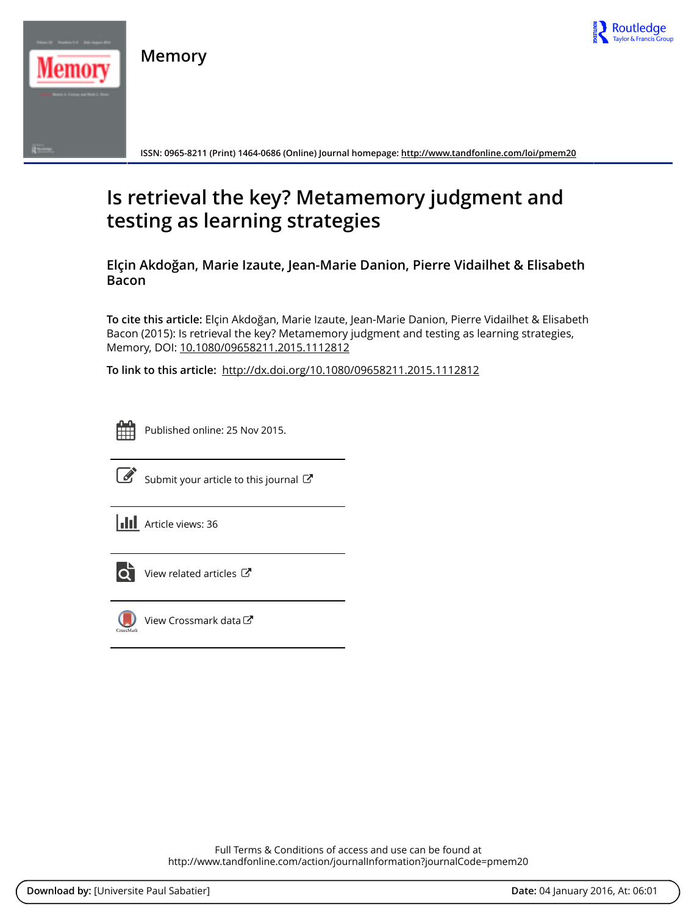

**Memory**



**ISSN: 0965-8211 (Print) 1464-0686 (Online) Journal homepage:<http://www.tandfonline.com/loi/pmem20>**

# **Is retrieval the key? Metamemory judgment and testing as learning strategies**

**Elçin Akdoğan, Marie Izaute, Jean-Marie Danion, Pierre Vidailhet & Elisabeth Bacon**

**To cite this article:** Elçin Akdoğan, Marie Izaute, Jean-Marie Danion, Pierre Vidailhet & Elisabeth Bacon (2015): Is retrieval the key? Metamemory judgment and testing as learning strategies, Memory, DOI: [10.1080/09658211.2015.1112812](http://www.tandfonline.com/action/showCitFormats?doi=10.1080/09658211.2015.1112812)

**To link to this article:** <http://dx.doi.org/10.1080/09658211.2015.1112812>



Published online: 25 Nov 2015.



 $\overline{\mathscr{L}}$  [Submit your article to this journal](http://www.tandfonline.com/action/authorSubmission?journalCode=pmem20&page=instructions)  $\mathbb{Z}$ 

**III** Article views: 36



View related articles



[View Crossmark data](http://crossmark.crossref.org/dialog/?doi=10.1080/09658211.2015.1112812&domain=pdf&date_stamp=2015-11-25) C

Full Terms & Conditions of access and use can be found at <http://www.tandfonline.com/action/journalInformation?journalCode=pmem20>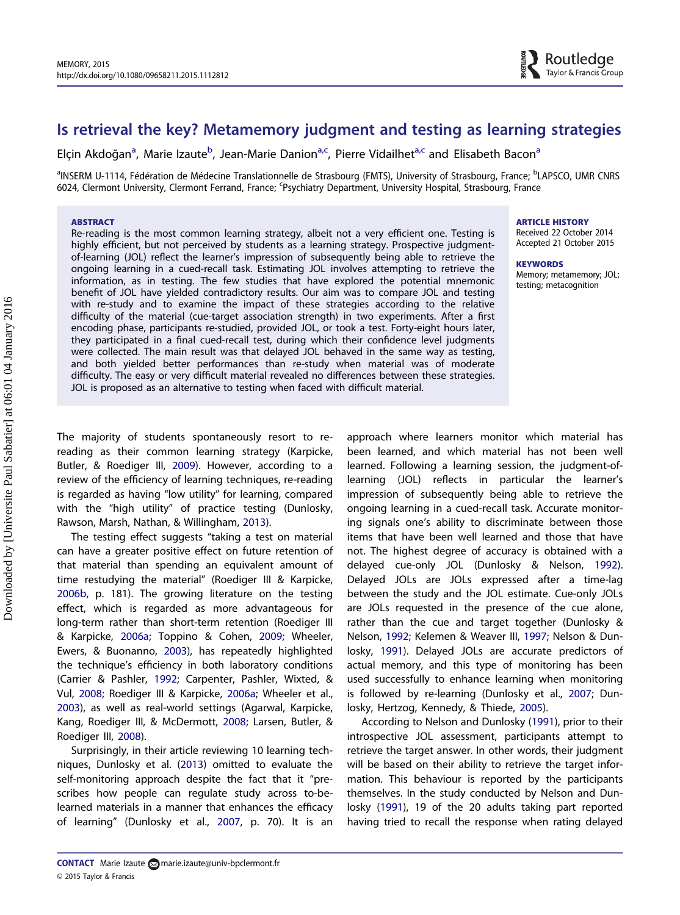## <span id="page-1-0"></span>Is retrieval the key? Metamemory judgment and testing as learning strategies

Elçin Akdoğan<sup>a</sup>, Marie Izaute<sup>b</sup>, Jean-Marie Danion<sup>a,c</sup>, Pierre Vidailhet<sup>a,c</sup> and Elisabeth Bacon<sup>a</sup>

<sup>a</sup>INSERM U-1114, Fédération de Médecine Translationnelle de Strasbourg (FMTS), University of Strasbourg, France; <sup>b</sup>LAPSCO, UMR CNRS 6024, Clermont University, Clermont Ferrand, France; <sup>c</sup>Psychiatry Department, University Hospital, Strasbourg, France

#### **ABSTRACT**

Re-reading is the most common learning strategy, albeit not a very efficient one. Testing is highly efficient, but not perceived by students as a learning strategy. Prospective judgmentof-learning (JOL) reflect the learner's impression of subsequently being able to retrieve the ongoing learning in a cued-recall task. Estimating JOL involves attempting to retrieve the information, as in testing. The few studies that have explored the potential mnemonic benefit of JOL have yielded contradictory results. Our aim was to compare JOL and testing with re-study and to examine the impact of these strategies according to the relative difficulty of the material (cue-target association strength) in two experiments. After a first encoding phase, participants re-studied, provided JOL, or took a test. Forty-eight hours later, they participated in a final cued-recall test, during which their confidence level judgments were collected. The main result was that delayed JOL behaved in the same way as testing, and both yielded better performances than re-study when material was of moderate difficulty. The easy or very difficult material revealed no differences between these strategies. JOL is proposed as an alternative to testing when faced with difficult material.

#### ARTICLE HISTORY

Received 22 October 2014 Accepted 21 October 2015

**KEYWORDS** Memory; metamemory; JOL; testing; metacognition

The majority of students spontaneously resort to rereading as their common learning strategy (Karpicke, Butler, & Roediger III, [2009](#page-6-0)). However, according to a review of the efficiency of learning techniques, re-reading is regarded as having "low utility" for learning, compared with the "high utility" of practice testing (Dunlosky, Rawson, Marsh, Nathan, & Willingham, [2013\)](#page-5-0).

The testing effect suggests "taking a test on material can have a greater positive effect on future retention of that material than spending an equivalent amount of time restudying the material" (Roediger III & Karpicke, [2006b,](#page-6-0) p. 181). The growing literature on the testing effect, which is regarded as more advantageous for long-term rather than short-term retention (Roediger III & Karpicke, [2006a;](#page-6-0) Toppino & Cohen, [2009;](#page-6-0) Wheeler, Ewers, & Buonanno, [2003](#page-6-0)), has repeatedly highlighted the technique's efficiency in both laboratory conditions (Carrier & Pashler, [1992](#page-5-0); Carpenter, Pashler, Wixted, & Vul, [2008;](#page-5-0) Roediger III & Karpicke, [2006a](#page-6-0); Wheeler et al., [2003](#page-6-0)), as well as real-world settings (Agarwal, Karpicke, Kang, Roediger III, & McDermott, [2008](#page-5-0); Larsen, Butler, & Roediger III, [2008\)](#page-6-0).

Surprisingly, in their article reviewing 10 learning techniques, Dunlosky et al. ([2013](#page-5-0)) omitted to evaluate the self-monitoring approach despite the fact that it "prescribes how people can regulate study across to-belearned materials in a manner that enhances the efficacy of learning" (Dunlosky et al., [2007](#page-5-0), p. 70). It is an approach where learners monitor which material has been learned, and which material has not been well learned. Following a learning session, the judgment-oflearning (JOL) reflects in particular the learner's impression of subsequently being able to retrieve the ongoing learning in a cued-recall task. Accurate monitoring signals one's ability to discriminate between those items that have been well learned and those that have not. The highest degree of accuracy is obtained with a delayed cue-only JOL (Dunlosky & Nelson, [1992](#page-5-0)). Delayed JOLs are JOLs expressed after a time-lag between the study and the JOL estimate. Cue-only JOLs are JOLs requested in the presence of the cue alone, rather than the cue and target together (Dunlosky & Nelson, [1992](#page-5-0); Kelemen & Weaver III, [1997](#page-6-0); Nelson & Dunlosky, [1991\)](#page-6-0). Delayed JOLs are accurate predictors of actual memory, and this type of monitoring has been used successfully to enhance learning when monitoring is followed by re-learning (Dunlosky et al., [2007](#page-5-0); Dunlosky, Hertzog, Kennedy, & Thiede, [2005](#page-5-0)).

According to Nelson and Dunlosky ([1991](#page-6-0)), prior to their introspective JOL assessment, participants attempt to retrieve the target answer. In other words, their judgment will be based on their ability to retrieve the target information. This behaviour is reported by the participants themselves. In the study conducted by Nelson and Dunlosky [\(1991](#page-6-0)), 19 of the 20 adults taking part reported having tried to recall the response when rating delayed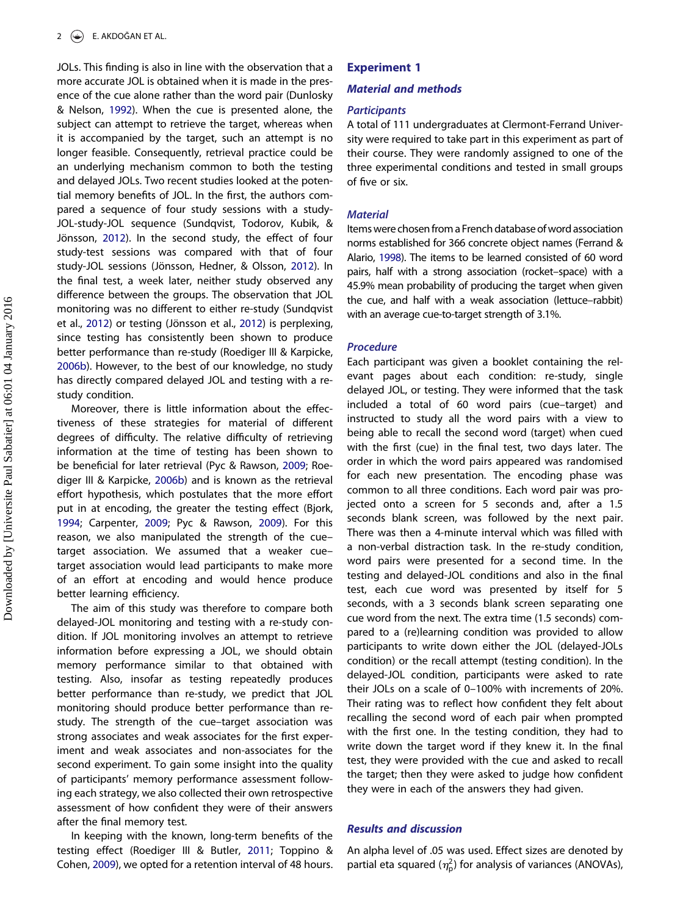<span id="page-2-0"></span>JOLs. This finding is also in line with the observation that a more accurate JOL is obtained when it is made in the presence of the cue alone rather than the word pair (Dunlosky & Nelson, [1992](#page-5-0)). When the cue is presented alone, the subject can attempt to retrieve the target, whereas when it is accompanied by the target, such an attempt is no longer feasible. Consequently, retrieval practice could be an underlying mechanism common to both the testing and delayed JOLs. Two recent studies looked at the potential memory benefits of JOL. In the first, the authors compared a sequence of four study sessions with a study-JOL-study-JOL sequence (Sundqvist, Todorov, Kubik, & Jönsson, [2012\)](#page-6-0). In the second study, the effect of four study-test sessions was compared with that of four study-JOL sessions (Jönsson, Hedner, & Olsson, [2012](#page-6-0)). In the final test, a week later, neither study observed any difference between the groups. The observation that JOL monitoring was no different to either re-study (Sundqvist et al., [2012\)](#page-6-0) or testing (Jönsson et al., [2012](#page-6-0)) is perplexing, since testing has consistently been shown to produce better performance than re-study (Roediger III & Karpicke, [2006b\)](#page-6-0). However, to the best of our knowledge, no study has directly compared delayed JOL and testing with a restudy condition.

Moreover, there is little information about the effectiveness of these strategies for material of different degrees of difficulty. The relative difficulty of retrieving information at the time of testing has been shown to be beneficial for later retrieval (Pyc & Rawson, [2009](#page-6-0); Roediger III & Karpicke, [2006b](#page-6-0)) and is known as the retrieval effort hypothesis, which postulates that the more effort put in at encoding, the greater the testing effect (Bjork, [1994](#page-5-0); Carpenter, [2009](#page-5-0); Pyc & Rawson, [2009](#page-6-0)). For this reason, we also manipulated the strength of the cue– target association. We assumed that a weaker cue– target association would lead participants to make more of an effort at encoding and would hence produce better learning efficiency.

The aim of this study was therefore to compare both delayed-JOL monitoring and testing with a re-study condition. If JOL monitoring involves an attempt to retrieve information before expressing a JOL, we should obtain memory performance similar to that obtained with testing. Also, insofar as testing repeatedly produces better performance than re-study, we predict that JOL monitoring should produce better performance than restudy. The strength of the cue–target association was strong associates and weak associates for the first experiment and weak associates and non-associates for the second experiment. To gain some insight into the quality of participants' memory performance assessment following each strategy, we also collected their own retrospective assessment of how confident they were of their answers after the final memory test.

In keeping with the known, long-term benefits of the testing effect (Roediger III & Butler, [2011;](#page-6-0) Toppino & Cohen, [2009](#page-6-0)), we opted for a retention interval of 48 hours.

## Experiment 1

## Material and methods

#### **Participants**

A total of 111 undergraduates at Clermont-Ferrand University were required to take part in this experiment as part of their course. They were randomly assigned to one of the three experimental conditions and tested in small groups of five or six.

## **Material**

Items were chosen from a French database of word association norms established for 366 concrete object names (Ferrand & Alario, [1998\)](#page-5-0). The items to be learned consisted of 60 word pairs, half with a strong association (rocket–space) with a 45.9% mean probability of producing the target when given the cue, and half with a weak association (lettuce–rabbit) with an average cue-to-target strength of 3.1%.

#### Procedure

Each participant was given a booklet containing the relevant pages about each condition: re-study, single delayed JOL, or testing. They were informed that the task included a total of 60 word pairs (cue–target) and instructed to study all the word pairs with a view to being able to recall the second word (target) when cued with the first (cue) in the final test, two days later. The order in which the word pairs appeared was randomised for each new presentation. The encoding phase was common to all three conditions. Each word pair was projected onto a screen for 5 seconds and, after a 1.5 seconds blank screen, was followed by the next pair. There was then a 4-minute interval which was filled with a non-verbal distraction task. In the re-study condition, word pairs were presented for a second time. In the testing and delayed-JOL conditions and also in the final test, each cue word was presented by itself for 5 seconds, with a 3 seconds blank screen separating one cue word from the next. The extra time (1.5 seconds) compared to a (re)learning condition was provided to allow participants to write down either the JOL (delayed-JOLs condition) or the recall attempt (testing condition). In the delayed-JOL condition, participants were asked to rate their JOLs on a scale of 0–100% with increments of 20%. Their rating was to reflect how confident they felt about recalling the second word of each pair when prompted with the first one. In the testing condition, they had to write down the target word if they knew it. In the final test, they were provided with the cue and asked to recall the target; then they were asked to judge how confident they were in each of the answers they had given.

## Results and discussion

An alpha level of .05 was used. Effect sizes are denoted by partial eta squared  $(\eta_{\rm p}^2)$  for analysis of variances (ANOVAs),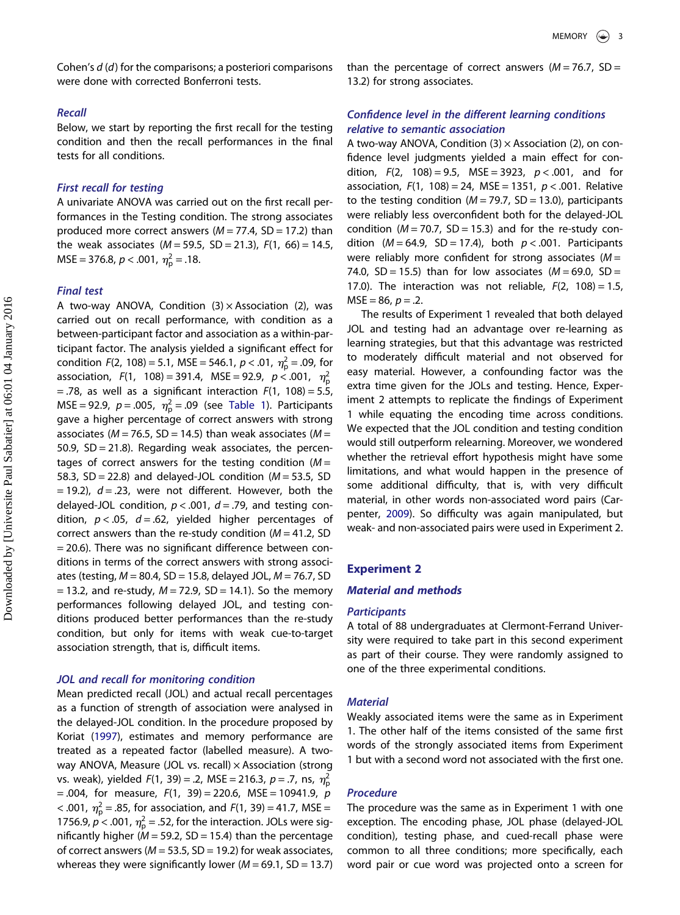<span id="page-3-0"></span>Cohen's d (d) for the comparisons; a posteriori comparisons were done with corrected Bonferroni tests.

## **Recall**

Below, we start by reporting the first recall for the testing condition and then the recall performances in the final tests for all conditions.

## First recall for testing

A univariate ANOVA was carried out on the first recall performances in the Testing condition. The strong associates produced more correct answers  $(M = 77.4, SD = 17.2)$  than the weak associates ( $M = 59.5$ , SD = 21.3),  $F(1, 66) = 14.5$ ,  $MSE = 376.8, p < .001, \eta_{p}^{2} = .18.$ 

#### Final test

A two-way ANOVA, Condition  $(3) \times$  Association (2), was carried out on recall performance, with condition as a between-participant factor and association as a within-participant factor. The analysis yielded a significant effect for condition  $F(2, 108) = 5.1$ , MSE = 546.1,  $p < .01$ ,  $\eta_p^2 = .09$ , for association,  $F(1, 108) = 391.4$ , MSE = 92.9,  $p < .001$ ,  $\eta_p^2$ = .78, as well as a significant interaction  $F(1, 108) = 5.5$ ,  $MSE = 92.9$ ,  $p = .005$ ,  $\eta_p^2 = .09$  (see [Table 1](#page-4-0)). Participants gave a higher percentage of correct answers with strong associates ( $M = 76.5$ , SD = 14.5) than weak associates ( $M =$ 50.9,  $SD = 21.8$ ). Regarding weak associates, the percentages of correct answers for the testing condition ( $M =$ 58.3,  $SD = 22.8$ ) and delayed-JOL condition ( $M = 53.5$ , SD  $= 19.2$ ),  $d = .23$ , were not different. However, both the delayed-JOL condition,  $p < .001$ ,  $d = .79$ , and testing condition,  $p < .05$ ,  $d = .62$ , yielded higher percentages of correct answers than the re-study condition  $(M = 41.2, SD)$  $= 20.6$ ). There was no significant difference between conditions in terms of the correct answers with strong associates (testing,  $M = 80.4$ , SD = 15.8, delayed JOL,  $M = 76.7$ , SD  $= 13.2$ , and re-study,  $M = 72.9$ , SD = 14.1). So the memory performances following delayed JOL, and testing conditions produced better performances than the re-study condition, but only for items with weak cue-to-target association strength, that is, difficult items.

## JOL and recall for monitoring condition

Mean predicted recall (JOL) and actual recall percentages as a function of strength of association were analysed in the delayed-JOL condition. In the procedure proposed by Koriat [\(1997\)](#page-6-0), estimates and memory performance are treated as a repeated factor (labelled measure). A twoway ANOVA, Measure (JOL vs. recall) × Association (strong vs. weak), yielded  $F(1, 39) = .2$ , MSE = 216.3,  $p = .7$ , ns,  $\eta_p^2$ = .004, for measure,  $F(1, 39) = 220.6$ , MSE = 10941.9, p < .001,  $\eta_{\rm p}^2 = .85$ , for association, and  $F(1, 39) = 41.7$ , MSE = 1756.9,  $p < .001$ ,  $\eta_p^2 = .52$ , for the interaction. JOLs were significantly higher ( $M = 59.2$ , SD = 15.4) than the percentage of correct answers ( $M = 53.5$ , SD = 19.2) for weak associates, whereas they were significantly lower ( $M = 69.1$ , SD = 13.7) than the percentage of correct answers  $(M = 76.7, SD =$ 13.2) for strong associates.

## Confidence level in the different learning conditions relative to semantic association

A two-way ANOVA, Condition  $(3)$  x Association  $(2)$ , on confidence level judgments yielded a main effect for condition,  $F(2, 108) = 9.5$ ,  $MSE = 3923$ ,  $p < .001$ , and for association,  $F(1, 108) = 24$ , MSE = 1351,  $p < .001$ . Relative to the testing condition ( $M = 79.7$ , SD = 13.0), participants were reliably less overconfident both for the delayed-JOL condition ( $M = 70.7$ , SD = 15.3) and for the re-study condition  $(M = 64.9, SD = 17.4)$ , both  $p < .001$ . Participants were reliably more confident for strong associates ( $M =$ 74.0, SD = 15.5) than for low associates  $(M = 69.0, SD =$ 17.0). The interaction was not reliable,  $F(2, 108) = 1.5$ ,  $MSE = 86, p = .2.$ 

The results of Experiment 1 revealed that both delayed JOL and testing had an advantage over re-learning as learning strategies, but that this advantage was restricted to moderately difficult material and not observed for easy material. However, a confounding factor was the extra time given for the JOLs and testing. Hence, Experiment 2 attempts to replicate the findings of Experiment 1 while equating the encoding time across conditions. We expected that the JOL condition and testing condition would still outperform relearning. Moreover, we wondered whether the retrieval effort hypothesis might have some limitations, and what would happen in the presence of some additional difficulty, that is, with very difficult material, in other words non-associated word pairs (Carpenter, [2009\)](#page-5-0). So difficulty was again manipulated, but weak- and non-associated pairs were used in Experiment 2.

## Experiment 2

## Material and methods

#### **Participants**

A total of 88 undergraduates at Clermont-Ferrand University were required to take part in this second experiment as part of their course. They were randomly assigned to one of the three experimental conditions.

## **Material**

Weakly associated items were the same as in Experiment 1. The other half of the items consisted of the same first words of the strongly associated items from Experiment 1 but with a second word not associated with the first one.

#### Procedure

The procedure was the same as in Experiment 1 with one exception. The encoding phase, JOL phase (delayed-JOL condition), testing phase, and cued-recall phase were common to all three conditions; more specifically, each word pair or cue word was projected onto a screen for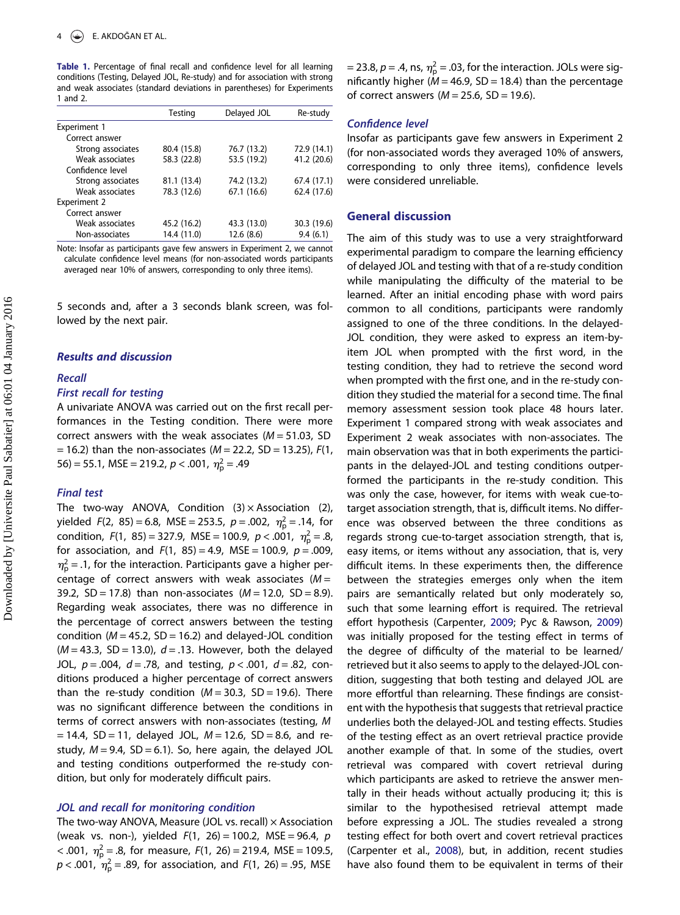<span id="page-4-0"></span>Table 1. Percentage of final recall and confidence level for all learning conditions (Testing, Delayed JOL, Re-study) and for association with strong and weak associates (standard deviations in parentheses) for Experiments 1 and 2.

|                                     | Testing     | Delayed JOL | Re-study    |
|-------------------------------------|-------------|-------------|-------------|
| Experiment 1                        |             |             |             |
| Correct answer                      |             |             |             |
| Strong associates                   | 80.4 (15.8) | 76.7 (13.2) | 72.9 (14.1) |
| Weak associates<br>Confidence level | 58.3 (22.8) | 53.5 (19.2) | 41.2 (20.6) |
| Strong associates                   | 81.1 (13.4) | 74.2 (13.2) | 67.4 (17.1) |
| Weak associates                     | 78.3 (12.6) | 67.1 (16.6) | 62.4 (17.6) |
| Experiment 2                        |             |             |             |
| Correct answer                      |             |             |             |
| Weak associates                     | 45.2 (16.2) | 43.3 (13.0) | 30.3 (19.6) |
| Non-associates                      | 14.4 (11.0) | 12.6(8.6)   | 9.4(6.1)    |

Note: Insofar as participants gave few answers in Experiment 2, we cannot calculate confidence level means (for non-associated words participants averaged near 10% of answers, corresponding to only three items).

5 seconds and, after a 3 seconds blank screen, was followed by the next pair.

### Results and discussion

#### Recall

## First recall for testing

A univariate ANOVA was carried out on the first recall performances in the Testing condition. There were more correct answers with the weak associates ( $M = 51.03$ , SD  $= 16.2$ ) than the non-associates ( $M = 22.2$ , SD = 13.25),  $F(1, 1)$ 56) = 55.1, MSE = 219.2,  $p < .001$ ,  $\eta_{\rm p}^2 = .49$ 

#### Final test

The two-way ANOVA, Condition  $(3) \times$  Association  $(2)$ , yielded  $F(2, 85) = 6.8$ , MSE = 253.5,  $p = .002$ ,  $\eta_{\text{p}}^2 = .14$ , for condition,  $F(1, 85) = 327.9$ , MSE = 100.9,  $p < .001$ ,  $\eta_p^2 = .8$ , for association, and  $F(1, 85) = 4.9$ , MSE = 100.9,  $p = .009$ ,  $\eta_{\rm p}^2$  = .1, for the interaction. Participants gave a higher percentage of correct answers with weak associates  $(M =$ 39.2, SD = 17.8) than non-associates ( $M = 12.0$ , SD = 8.9). Regarding weak associates, there was no difference in the percentage of correct answers between the testing condition ( $M = 45.2$ , SD = 16.2) and delayed-JOL condition  $(M = 43.3, SD = 13.0), d = .13.$  However, both the delayed JOL,  $p = .004$ ,  $d = .78$ , and testing,  $p < .001$ ,  $d = .82$ , conditions produced a higher percentage of correct answers than the re-study condition ( $M = 30.3$ , SD = 19.6). There was no significant difference between the conditions in terms of correct answers with non-associates (testing, M  $= 14.4$ , SD = 11, delayed JOL,  $M = 12.6$ , SD = 8.6, and restudy,  $M = 9.4$ , SD = 6.1). So, here again, the delayed JOL and testing conditions outperformed the re-study condition, but only for moderately difficult pairs.

## JOL and recall for monitoring condition

The two-way ANOVA, Measure (JOL vs. recall)  $\times$  Association (weak vs. non-), yielded  $F(1, 26) = 100.2$ , MSE = 96.4, p < .001,  $\eta_{\rm p}^2 = .8$ , for measure,  $F(1, 26) = 219.4$ , MSE = 109.5,  $p < .001$ ,  $\eta_{\rm p}^2 = .89$ , for association, and  $F(1, 26) = .95$ , MSE

= 23.8,  $p = .4$ , ns,  $\eta_{\rm p}^2 = .03$ , for the interaction. JOLs were significantly higher ( $M = 46.9$ , SD = 18.4) than the percentage of correct answers ( $M = 25.6$ , SD = 19.6).

## Confidence level

Insofar as participants gave few answers in Experiment 2 (for non-associated words they averaged 10% of answers, corresponding to only three items), confidence levels were considered unreliable.

## General discussion

The aim of this study was to use a very straightforward experimental paradigm to compare the learning efficiency of delayed JOL and testing with that of a re-study condition while manipulating the difficulty of the material to be learned. After an initial encoding phase with word pairs common to all conditions, participants were randomly assigned to one of the three conditions. In the delayed-JOL condition, they were asked to express an item-byitem JOL when prompted with the first word, in the testing condition, they had to retrieve the second word when prompted with the first one, and in the re-study condition they studied the material for a second time. The final memory assessment session took place 48 hours later. Experiment 1 compared strong with weak associates and Experiment 2 weak associates with non-associates. The main observation was that in both experiments the participants in the delayed-JOL and testing conditions outperformed the participants in the re-study condition. This was only the case, however, for items with weak cue-totarget association strength, that is, difficult items. No difference was observed between the three conditions as regards strong cue-to-target association strength, that is, easy items, or items without any association, that is, very difficult items. In these experiments then, the difference between the strategies emerges only when the item pairs are semantically related but only moderately so, such that some learning effort is required. The retrieval effort hypothesis (Carpenter, [2009](#page-5-0); Pyc & Rawson, [2009\)](#page-6-0) was initially proposed for the testing effect in terms of the degree of difficulty of the material to be learned/ retrieved but it also seems to apply to the delayed-JOL condition, suggesting that both testing and delayed JOL are more effortful than relearning. These findings are consistent with the hypothesis that suggests that retrieval practice underlies both the delayed-JOL and testing effects. Studies of the testing effect as an overt retrieval practice provide another example of that. In some of the studies, overt retrieval was compared with covert retrieval during which participants are asked to retrieve the answer mentally in their heads without actually producing it; this is similar to the hypothesised retrieval attempt made before expressing a JOL. The studies revealed a strong testing effect for both overt and covert retrieval practices (Carpenter et al., [2008\)](#page-5-0), but, in addition, recent studies have also found them to be equivalent in terms of their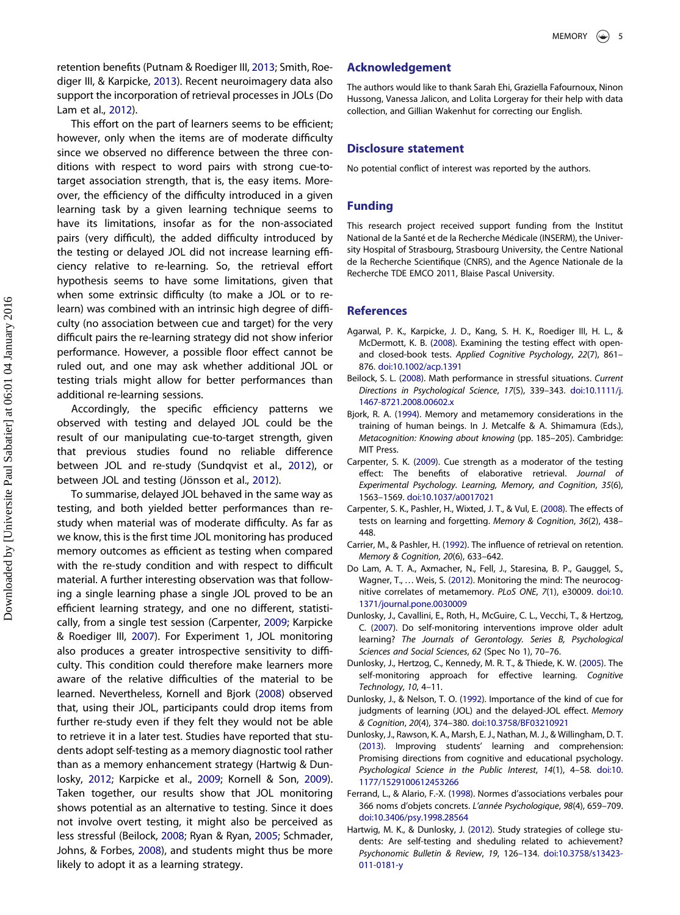<span id="page-5-0"></span>retention benefits (Putnam & Roediger III, [2013;](#page-6-0) Smith, Roediger III, & Karpicke, [2013\)](#page-6-0). Recent neuroimagery data also support the incorporation of retrieval processes in JOLs (Do Lam et al., 2012).

This effort on the part of learners seems to be efficient; however, only when the items are of moderate difficulty since we observed no difference between the three conditions with respect to word pairs with strong cue-totarget association strength, that is, the easy items. Moreover, the efficiency of the difficulty introduced in a given learning task by a given learning technique seems to have its limitations, insofar as for the non-associated pairs (very difficult), the added difficulty introduced by the testing or delayed JOL did not increase learning efficiency relative to re-learning. So, the retrieval effort hypothesis seems to have some limitations, given that when some extrinsic difficulty (to make a JOL or to relearn) was combined with an intrinsic high degree of difficulty (no association between cue and target) for the very difficult pairs the re-learning strategy did not show inferior performance. However, a possible floor effect cannot be ruled out, and one may ask whether additional JOL or testing trials might allow for better performances than additional re-learning sessions.

Accordingly, the specific efficiency patterns we observed with testing and delayed JOL could be the result of our manipulating cue-to-target strength, given that previous studies found no reliable difference between JOL and re-study (Sundqvist et al., [2012](#page-6-0)), or between JOL and testing (Jönsson et al., [2012](#page-6-0)).

To summarise, delayed JOL behaved in the same way as testing, and both yielded better performances than restudy when material was of moderate difficulty. As far as we know, this is the first time JOL monitoring has produced memory outcomes as efficient as testing when compared with the re-study condition and with respect to difficult material. A further interesting observation was that following a single learning phase a single JOL proved to be an efficient learning strategy, and one no different, statistically, from a single test session (Carpenter, 2009; Karpicke & Roediger III, [2007](#page-6-0)). For Experiment 1, JOL monitoring also produces a greater introspective sensitivity to difficulty. This condition could therefore make learners more aware of the relative difficulties of the material to be learned. Nevertheless, Kornell and Bjork ([2008\)](#page-6-0) observed that, using their JOL, participants could drop items from further re-study even if they felt they would not be able to retrieve it in a later test. Studies have reported that students adopt self-testing as a memory diagnostic tool rather than as a memory enhancement strategy (Hartwig & Dunlosky, 2012; Karpicke et al., [2009;](#page-6-0) Kornell & Son, [2009\)](#page-6-0). Taken together, our results show that JOL monitoring shows potential as an alternative to testing. Since it does not involve overt testing, it might also be perceived as less stressful (Beilock, 2008; Ryan & Ryan, [2005;](#page-6-0) Schmader, Johns, & Forbes, [2008\)](#page-6-0), and students might thus be more likely to adopt it as a learning strategy.

## Acknowledgement

The authors would like to thank Sarah Ehi, Graziella Fafournoux, Ninon Hussong, Vanessa Jalicon, and Lolita Lorgeray for their help with data collection, and Gillian Wakenhut for correcting our English.

## Disclosure statement

No potential conflict of interest was reported by the authors.

#### Funding

This research project received support funding from the Institut National de la Santé et de la Recherche Médicale (INSERM), the University Hospital of Strasbourg, Strasbourg University, the Centre National de la Recherche Scientifique (CNRS), and the Agence Nationale de la Recherche TDE EMCO 2011, Blaise Pascal University.

## References

- Agarwal, P. K., Karpicke, J. D., Kang, S. H. K., Roediger III, H. L., & McDermott, K. B. ([2008](#page-1-0)). Examining the testing effect with openand closed-book tests. Applied Cognitive Psychology, 22(7), 861– 876. [doi:10.1002/acp.1391](http://dx.doi.org/10.1002/acp.1391)
- Beilock, S. L. (2008). Math performance in stressful situations. Current Directions in Psychological Science, 17(5), 339–343. [doi:10.1111/j.](http://dx.doi.org/10.1111/j.1467-8721.2008.00602.x) [1467-8721.2008.00602.x](http://dx.doi.org/10.1111/j.1467-8721.2008.00602.x)
- Bjork, R. A. ([1994\)](#page-2-0). Memory and metamemory considerations in the training of human beings. In J. Metcalfe & A. Shimamura (Eds.), Metacognition: Knowing about knowing (pp. 185–205). Cambridge: MIT Press.
- Carpenter, S. K. [\(2009\)](#page-2-0). Cue strength as a moderator of the testing effect: The benefits of elaborative retrieval. Journal of Experimental Psychology. Learning, Memory, and Cognition, 35(6), 1563–1569. [doi:10.1037/a0017021](http://dx.doi.org/10.1037/a0017021)
- Carpenter, S. K., Pashler, H., Wixted, J. T., & Vul, E. [\(2008\)](#page-1-0). The effects of tests on learning and forgetting. Memory & Cognition, 36(2), 438– 448.
- Carrier, M., & Pashler, H. ([1992](#page-1-0)). The influence of retrieval on retention. Memory & Cognition, 20(6), 633–642.
- Do Lam, A. T. A., Axmacher, N., Fell, J., Staresina, B. P., Gauggel, S., Wagner, T., ... Weis, S. (2012). Monitoring the mind: The neurocognitive correlates of metamemory. PLoS ONE, 7(1), e30009. [doi:10.](http://dx.doi.org/10.1371/journal.pone.0030009) [1371/journal.pone.0030009](http://dx.doi.org/10.1371/journal.pone.0030009)
- Dunlosky, J., Cavallini, E., Roth, H., McGuire, C. L., Vecchi, T., & Hertzog, C. ([2007\)](#page-1-0). Do self-monitoring interventions improve older adult learning? The Journals of Gerontology. Series B, Psychological Sciences and Social Sciences, 62 (Spec No 1), 70–76.
- Dunlosky, J., Hertzog, C., Kennedy, M. R. T., & Thiede, K. W. [\(2005](#page-1-0)). The self-monitoring approach for effective learning. Cognitive Technology, 10, 4–11.
- Dunlosky, J., & Nelson, T. O. [\(1992\)](#page-1-0). Importance of the kind of cue for judgments of learning (JOL) and the delayed-JOL effect. Memory & Cognition, 20(4), 374–380. [doi:10.3758/BF03210921](http://dx.doi.org/10.3758/BF03210921)
- Dunlosky, J., Rawson, K. A., Marsh, E. J., Nathan, M. J., & Willingham, D. T. ([2013\)](#page-1-0). Improving students' learning and comprehension: Promising directions from cognitive and educational psychology. Psychological Science in the Public Interest, 14(1), 4–58. [doi:10.](http://dx.doi.org/10.1177/1529100612453266) [1177/1529100612453266](http://dx.doi.org/10.1177/1529100612453266)
- Ferrand, L., & Alario, F.-X. ([1998](#page-2-0)). Normes d'associations verbales pour 366 noms d'objets concrets. L'année Psychologique, 98(4), 659–709. [doi:10.3406/psy.1998.28564](http://dx.doi.org/10.3406/psy.1998.28564)
- Hartwig, M. K., & Dunlosky, J. (2012). Study strategies of college students: Are self-testing and sheduling related to achievement? Psychonomic Bulletin & Review, 19, 126–134. [doi:10.3758/s13423-](http://dx.doi.org/10.3758/s13423-011-0181-y) [011-0181-y](http://dx.doi.org/10.3758/s13423-011-0181-y)